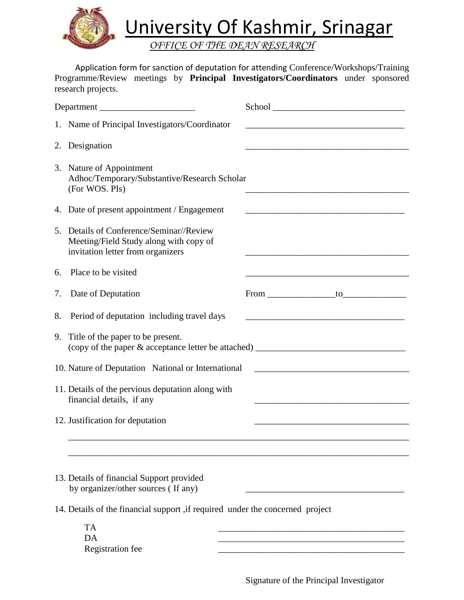

University Of Kashmir, Srinagar

*OFFICE OF THE DEAN RESEARCH*

 Application form for sanction of deputation for attending Conference/Workshops/Training Programme/Review meetings by **Principal Investigators/Coordinators** under sponsored research projects.

| Department                                                                       |                                                                                                                         |                                                                                                                        |
|----------------------------------------------------------------------------------|-------------------------------------------------------------------------------------------------------------------------|------------------------------------------------------------------------------------------------------------------------|
|                                                                                  | 1. Name of Principal Investigators/Coordinator                                                                          |                                                                                                                        |
| 2.                                                                               | Designation                                                                                                             |                                                                                                                        |
|                                                                                  | 3. Nature of Appointment<br>Adhoc/Temporary/Substantive/Research Scholar<br>(For WOS. PIs)                              |                                                                                                                        |
| 4.                                                                               | Date of present appointment / Engagement                                                                                | <u> 1989 - Johann Barbara, martin amerikan basar dan berasal dari berasal dalam basar dalam basar dalam basar dala</u> |
|                                                                                  | 5. Details of Conference/Seminar//Review<br>Meeting/Field Study along with copy of<br>invitation letter from organizers |                                                                                                                        |
| 6.                                                                               | Place to be visited                                                                                                     |                                                                                                                        |
| 7.                                                                               | Date of Deputation                                                                                                      | From to to                                                                                                             |
| 8.                                                                               | Period of deputation including travel days                                                                              |                                                                                                                        |
| 9.                                                                               | Title of the paper to be present.                                                                                       |                                                                                                                        |
| 10. Nature of Deputation National or International                               |                                                                                                                         |                                                                                                                        |
| 11. Details of the pervious deputation along with<br>financial details, if any   |                                                                                                                         |                                                                                                                        |
|                                                                                  | 12. Justification for deputation                                                                                        |                                                                                                                        |
|                                                                                  |                                                                                                                         |                                                                                                                        |
| 13. Details of financial Support provided<br>by organizer/other sources (If any) |                                                                                                                         |                                                                                                                        |
| 14. Details of the financial support ,if required under the concerned project    |                                                                                                                         |                                                                                                                        |
|                                                                                  | <b>TA</b><br>DA<br>Registration fee                                                                                     |                                                                                                                        |

Signature of the Principal Investigator